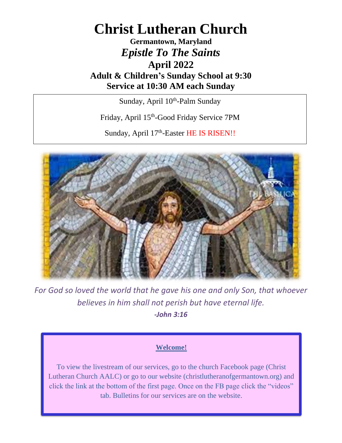# **Christ Lutheran Church**

## **Germantown, Maryland** *Epistle To The Saints* **April 2022 Adult & Children's Sunday School at 9:30 Service at 10:30 AM each Sunday**

Sunday, April 10<sup>th</sup>-Palm Sunday

Friday, April 15<sup>th</sup>-Good Friday Service 7PM

Sunday, April 17<sup>th</sup>-Easter HE IS RISEN!!



*For God so loved the world that he gave his one and only Son, that whoever believes in him shall not perish but have eternal life. -John 3:16*

#### **Welcome!**

To view the livestream of our services, go to the church Facebook page (Christ Lutheran Church AALC) or go to our website (christlutheranofgermantown.org) and click the link at the bottom of the first page. Once on the FB page click the "videos" tab. Bulletins for our services are on the website.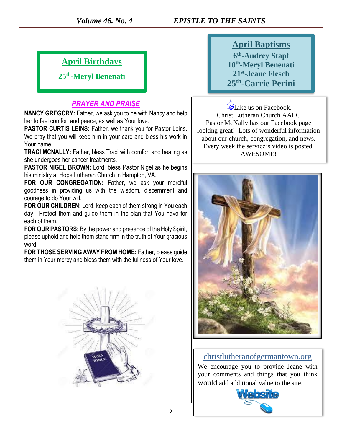### *Volume 46. No. 4 EPISTLE TO THE SAINTS*

## **April Birthdays**

**25th -Meryl Benenati**

#### *PRAYER AND PRAISE*

**NANCY GREGORY:** Father, we ask you to be with Nancy and help her to feel comfort and peace, as well as Your love.

**PASTOR CURTIS LEINS:** Father, we thank you for Pastor Leins. We pray that you will keep him in your care and bless his work in Your name.

**TRACI MCNALLY:** Father, bless Traci with comfort and healing as she undergoes her cancer treatments.

**PASTOR NIGEL BROWN:** Lord, bless Pastor Nigel as he begins his ministry at Hope Lutheran Church in Hampton, VA.

**FOR OUR CONGREGATION:** Father, we ask your merciful goodness in providing us with the wisdom, discernment and courage to do Your will.

**FOR OUR CHILDREN:** Lord, keep each of them strong in You each day. Protect them and guide them in the plan that You have for each of them.

**FOR OUR PASTORS:** By the power and presence of the Holy Spirit, please uphold and help them stand firm in the truth of Your gracious word.

**FOR THOSE SERVING AWAY FROM HOME:** Father, please guide them in Your mercy and bless them with the fullness of Your love.



**April Baptisms th -Audrey Stapf th -Meryl Benenati st -Jeane Flesch th -Carrie Perini**

Like us on Facebook. Christ Lutheran Church AALC Pastor McNally has our Facebook page looking great! Lots of wonderful information about our church, congregation, and news. Every week the service's video is posted. AWESOME!



#### christlutheranofgermantown.org

We encourage you to provide Jeane with your comments and things that you think would add additional value to the site.

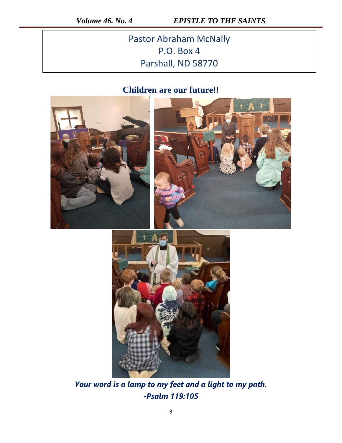*Volume 46. No. 4 EPISTLE TO THE SAINTS* 

Pastor Abraham McNally P.O. Box 4 Parshall, ND 58770

## **Children are our future!!**





*Your word is a lamp to my feet and a light to my path. -Psalm 119:105*